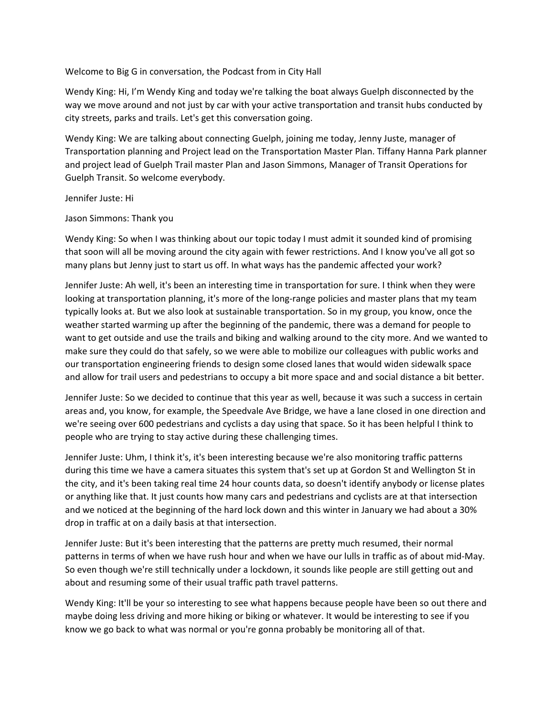Welcome to Big G in conversation, the Podcast from in City Hall

Wendy King: Hi, I'm Wendy King and today we're talking the boat always Guelph disconnected by the way we move around and not just by car with your active transportation and transit hubs conducted by city streets, parks and trails. Let's get this conversation going.

Wendy King: We are talking about connecting Guelph, joining me today, Jenny Juste, manager of Transportation planning and Project lead on the Transportation Master Plan. Tiffany Hanna Park planner and project lead of Guelph Trail master Plan and Jason Simmons, Manager of Transit Operations for Guelph Transit. So welcome everybody.

## Jennifer Juste: Hi

## Jason Simmons: Thank you

Wendy King: So when I was thinking about our topic today I must admit it sounded kind of promising that soon will all be moving around the city again with fewer restrictions. And I know you've all got so many plans but Jenny just to start us off. In what ways has the pandemic affected your work?

Jennifer Juste: Ah well, it's been an interesting time in transportation for sure. I think when they were looking at transportation planning, it's more of the long-range policies and master plans that my team typically looks at. But we also look at sustainable transportation. So in my group, you know, once the weather started warming up after the beginning of the pandemic, there was a demand for people to want to get outside and use the trails and biking and walking around to the city more. And we wanted to make sure they could do that safely, so we were able to mobilize our colleagues with public works and our transportation engineering friends to design some closed lanes that would widen sidewalk space and allow for trail users and pedestrians to occupy a bit more space and and social distance a bit better.

Jennifer Juste: So we decided to continue that this year as well, because it was such a success in certain areas and, you know, for example, the Speedvale Ave Bridge, we have a lane closed in one direction and we're seeing over 600 pedestrians and cyclists a day using that space. So it has been helpful I think to people who are trying to stay active during these challenging times.

Jennifer Juste: Uhm, I think it's, it's been interesting because we're also monitoring traffic patterns during this time we have a camera situates this system that's set up at Gordon St and Wellington St in the city, and it's been taking real time 24 hour counts data, so doesn't identify anybody or license plates or anything like that. It just counts how many cars and pedestrians and cyclists are at that intersection and we noticed at the beginning of the hard lock down and this winter in January we had about a 30% drop in traffic at on a daily basis at that intersection.

Jennifer Juste: But it's been interesting that the patterns are pretty much resumed, their normal patterns in terms of when we have rush hour and when we have our lulls in traffic as of about mid-May. So even though we're still technically under a lockdown, it sounds like people are still getting out and about and resuming some of their usual traffic path travel patterns.

Wendy King: It'll be your so interesting to see what happens because people have been so out there and maybe doing less driving and more hiking or biking or whatever. It would be interesting to see if you know we go back to what was normal or you're gonna probably be monitoring all of that.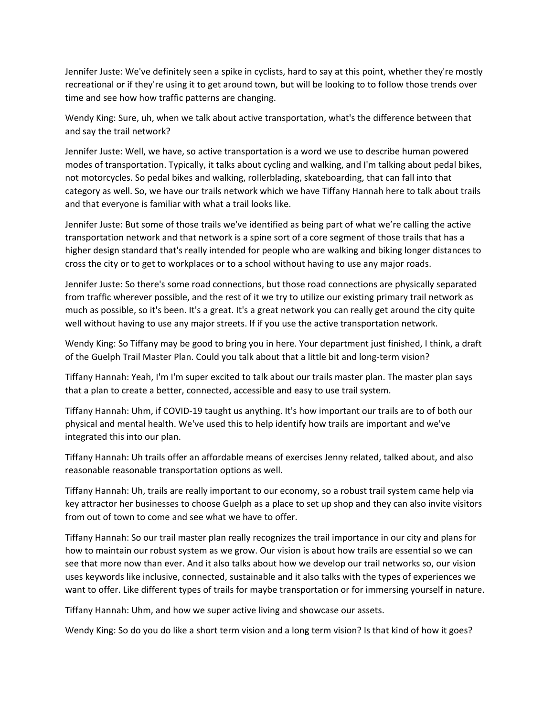Jennifer Juste: We've definitely seen a spike in cyclists, hard to say at this point, whether they're mostly recreational or if they're using it to get around town, but will be looking to to follow those trends over time and see how how traffic patterns are changing.

Wendy King: Sure, uh, when we talk about active transportation, what's the difference between that and say the trail network?

Jennifer Juste: Well, we have, so active transportation is a word we use to describe human powered modes of transportation. Typically, it talks about cycling and walking, and I'm talking about pedal bikes, not motorcycles. So pedal bikes and walking, rollerblading, skateboarding, that can fall into that category as well. So, we have our trails network which we have Tiffany Hannah here to talk about trails and that everyone is familiar with what a trail looks like.

Jennifer Juste: But some of those trails we've identified as being part of what we're calling the active transportation network and that network is a spine sort of a core segment of those trails that has a higher design standard that's really intended for people who are walking and biking longer distances to cross the city or to get to workplaces or to a school without having to use any major roads.

Jennifer Juste: So there's some road connections, but those road connections are physically separated from traffic wherever possible, and the rest of it we try to utilize our existing primary trail network as much as possible, so it's been. It's a great. It's a great network you can really get around the city quite well without having to use any major streets. If if you use the active transportation network.

Wendy King: So Tiffany may be good to bring you in here. Your department just finished, I think, a draft of the Guelph Trail Master Plan. Could you talk about that a little bit and long-term vision?

Tiffany Hannah: Yeah, I'm I'm super excited to talk about our trails master plan. The master plan says that a plan to create a better, connected, accessible and easy to use trail system.

Tiffany Hannah: Uhm, if COVID-19 taught us anything. It's how important our trails are to of both our physical and mental health. We've used this to help identify how trails are important and we've integrated this into our plan.

Tiffany Hannah: Uh trails offer an affordable means of exercises Jenny related, talked about, and also reasonable reasonable transportation options as well.

Tiffany Hannah: Uh, trails are really important to our economy, so a robust trail system came help via key attractor her businesses to choose Guelph as a place to set up shop and they can also invite visitors from out of town to come and see what we have to offer.

Tiffany Hannah: So our trail master plan really recognizes the trail importance in our city and plans for how to maintain our robust system as we grow. Our vision is about how trails are essential so we can see that more now than ever. And it also talks about how we develop our trail networks so, our vision uses keywords like inclusive, connected, sustainable and it also talks with the types of experiences we want to offer. Like different types of trails for maybe transportation or for immersing yourself in nature.

Tiffany Hannah: Uhm, and how we super active living and showcase our assets.

Wendy King: So do you do like a short term vision and a long term vision? Is that kind of how it goes?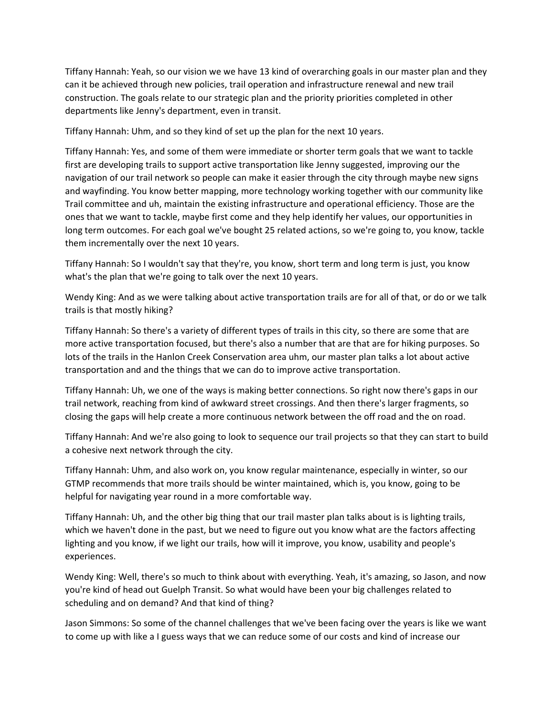Tiffany Hannah: Yeah, so our vision we we have 13 kind of overarching goals in our master plan and they can it be achieved through new policies, trail operation and infrastructure renewal and new trail construction. The goals relate to our strategic plan and the priority priorities completed in other departments like Jenny's department, even in transit.

Tiffany Hannah: Uhm, and so they kind of set up the plan for the next 10 years.

Tiffany Hannah: Yes, and some of them were immediate or shorter term goals that we want to tackle first are developing trails to support active transportation like Jenny suggested, improving our the navigation of our trail network so people can make it easier through the city through maybe new signs and wayfinding. You know better mapping, more technology working together with our community like Trail committee and uh, maintain the existing infrastructure and operational efficiency. Those are the ones that we want to tackle, maybe first come and they help identify her values, our opportunities in long term outcomes. For each goal we've bought 25 related actions, so we're going to, you know, tackle them incrementally over the next 10 years.

Tiffany Hannah: So I wouldn't say that they're, you know, short term and long term is just, you know what's the plan that we're going to talk over the next 10 years.

Wendy King: And as we were talking about active transportation trails are for all of that, or do or we talk trails is that mostly hiking?

Tiffany Hannah: So there's a variety of different types of trails in this city, so there are some that are more active transportation focused, but there's also a number that are that are for hiking purposes. So lots of the trails in the Hanlon Creek Conservation area uhm, our master plan talks a lot about active transportation and and the things that we can do to improve active transportation.

Tiffany Hannah: Uh, we one of the ways is making better connections. So right now there's gaps in our trail network, reaching from kind of awkward street crossings. And then there's larger fragments, so closing the gaps will help create a more continuous network between the off road and the on road.

Tiffany Hannah: And we're also going to look to sequence our trail projects so that they can start to build a cohesive next network through the city.

Tiffany Hannah: Uhm, and also work on, you know regular maintenance, especially in winter, so our GTMP recommends that more trails should be winter maintained, which is, you know, going to be helpful for navigating year round in a more comfortable way.

Tiffany Hannah: Uh, and the other big thing that our trail master plan talks about is is lighting trails, which we haven't done in the past, but we need to figure out you know what are the factors affecting lighting and you know, if we light our trails, how will it improve, you know, usability and people's experiences.

Wendy King: Well, there's so much to think about with everything. Yeah, it's amazing, so Jason, and now you're kind of head out Guelph Transit. So what would have been your big challenges related to scheduling and on demand? And that kind of thing?

Jason Simmons: So some of the channel challenges that we've been facing over the years is like we want to come up with like a I guess ways that we can reduce some of our costs and kind of increase our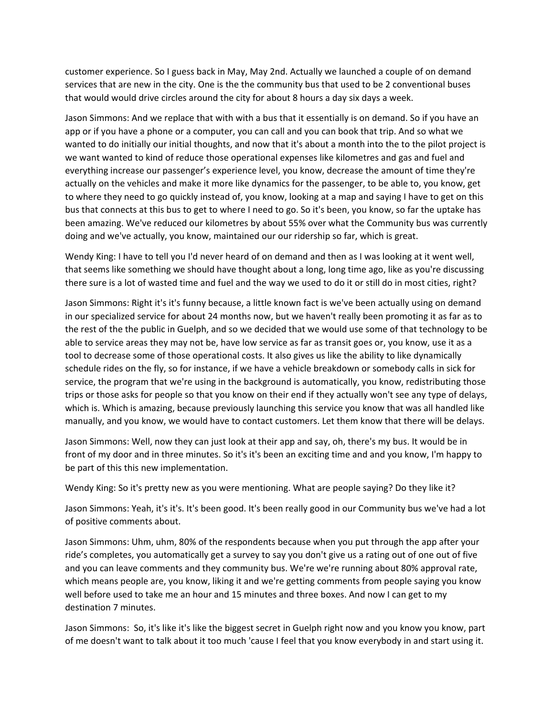customer experience. So I guess back in May, May 2nd. Actually we launched a couple of on demand services that are new in the city. One is the the community bus that used to be 2 conventional buses that would would drive circles around the city for about 8 hours a day six days a week.

Jason Simmons: And we replace that with with a bus that it essentially is on demand. So if you have an app or if you have a phone or a computer, you can call and you can book that trip. And so what we wanted to do initially our initial thoughts, and now that it's about a month into the to the pilot project is we want wanted to kind of reduce those operational expenses like kilometres and gas and fuel and everything increase our passenger's experience level, you know, decrease the amount of time they're actually on the vehicles and make it more like dynamics for the passenger, to be able to, you know, get to where they need to go quickly instead of, you know, looking at a map and saying I have to get on this bus that connects at this bus to get to where I need to go. So it's been, you know, so far the uptake has been amazing. We've reduced our kilometres by about 55% over what the Community bus was currently doing and we've actually, you know, maintained our our ridership so far, which is great.

Wendy King: I have to tell you I'd never heard of on demand and then as I was looking at it went well, that seems like something we should have thought about a long, long time ago, like as you're discussing there sure is a lot of wasted time and fuel and the way we used to do it or still do in most cities, right?

Jason Simmons: Right it's it's funny because, a little known fact is we've been actually using on demand in our specialized service for about 24 months now, but we haven't really been promoting it as far as to the rest of the the public in Guelph, and so we decided that we would use some of that technology to be able to service areas they may not be, have low service as far as transit goes or, you know, use it as a tool to decrease some of those operational costs. It also gives us like the ability to like dynamically schedule rides on the fly, so for instance, if we have a vehicle breakdown or somebody calls in sick for service, the program that we're using in the background is automatically, you know, redistributing those trips or those asks for people so that you know on their end if they actually won't see any type of delays, which is. Which is amazing, because previously launching this service you know that was all handled like manually, and you know, we would have to contact customers. Let them know that there will be delays.

Jason Simmons: Well, now they can just look at their app and say, oh, there's my bus. It would be in front of my door and in three minutes. So it's it's been an exciting time and and you know, I'm happy to be part of this this new implementation.

Wendy King: So it's pretty new as you were mentioning. What are people saying? Do they like it?

Jason Simmons: Yeah, it's it's. It's been good. It's been really good in our Community bus we've had a lot of positive comments about.

Jason Simmons: Uhm, uhm, 80% of the respondents because when you put through the app after your ride's completes, you automatically get a survey to say you don't give us a rating out of one out of five and you can leave comments and they community bus. We're we're running about 80% approval rate, which means people are, you know, liking it and we're getting comments from people saying you know well before used to take me an hour and 15 minutes and three boxes. And now I can get to my destination 7 minutes.

Jason Simmons: So, it's like it's like the biggest secret in Guelph right now and you know you know, part of me doesn't want to talk about it too much 'cause I feel that you know everybody in and start using it.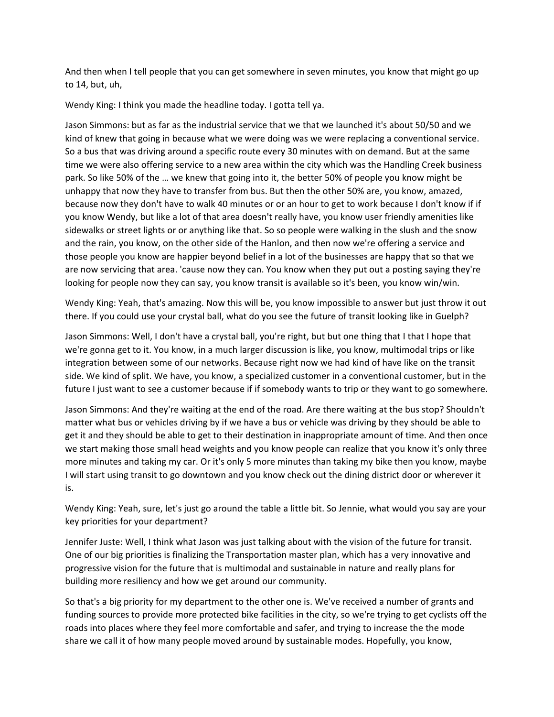And then when I tell people that you can get somewhere in seven minutes, you know that might go up to 14, but, uh,

Wendy King: I think you made the headline today. I gotta tell ya.

Jason Simmons: but as far as the industrial service that we that we launched it's about 50/50 and we kind of knew that going in because what we were doing was we were replacing a conventional service. So a bus that was driving around a specific route every 30 minutes with on demand. But at the same time we were also offering service to a new area within the city which was the Handling Creek business park. So like 50% of the … we knew that going into it, the better 50% of people you know might be unhappy that now they have to transfer from bus. But then the other 50% are, you know, amazed, because now they don't have to walk 40 minutes or or an hour to get to work because I don't know if if you know Wendy, but like a lot of that area doesn't really have, you know user friendly amenities like sidewalks or street lights or or anything like that. So so people were walking in the slush and the snow and the rain, you know, on the other side of the Hanlon, and then now we're offering a service and those people you know are happier beyond belief in a lot of the businesses are happy that so that we are now servicing that area. 'cause now they can. You know when they put out a posting saying they're looking for people now they can say, you know transit is available so it's been, you know win/win.

Wendy King: Yeah, that's amazing. Now this will be, you know impossible to answer but just throw it out there. If you could use your crystal ball, what do you see the future of transit looking like in Guelph?

Jason Simmons: Well, I don't have a crystal ball, you're right, but but one thing that I that I hope that we're gonna get to it. You know, in a much larger discussion is like, you know, multimodal trips or like integration between some of our networks. Because right now we had kind of have like on the transit side. We kind of split. We have, you know, a specialized customer in a conventional customer, but in the future I just want to see a customer because if if somebody wants to trip or they want to go somewhere.

Jason Simmons: And they're waiting at the end of the road. Are there waiting at the bus stop? Shouldn't matter what bus or vehicles driving by if we have a bus or vehicle was driving by they should be able to get it and they should be able to get to their destination in inappropriate amount of time. And then once we start making those small head weights and you know people can realize that you know it's only three more minutes and taking my car. Or it's only 5 more minutes than taking my bike then you know, maybe I will start using transit to go downtown and you know check out the dining district door or wherever it is.

Wendy King: Yeah, sure, let's just go around the table a little bit. So Jennie, what would you say are your key priorities for your department?

Jennifer Juste: Well, I think what Jason was just talking about with the vision of the future for transit. One of our big priorities is finalizing the Transportation master plan, which has a very innovative and progressive vision for the future that is multimodal and sustainable in nature and really plans for building more resiliency and how we get around our community.

So that's a big priority for my department to the other one is. We've received a number of grants and funding sources to provide more protected bike facilities in the city, so we're trying to get cyclists off the roads into places where they feel more comfortable and safer, and trying to increase the the mode share we call it of how many people moved around by sustainable modes. Hopefully, you know,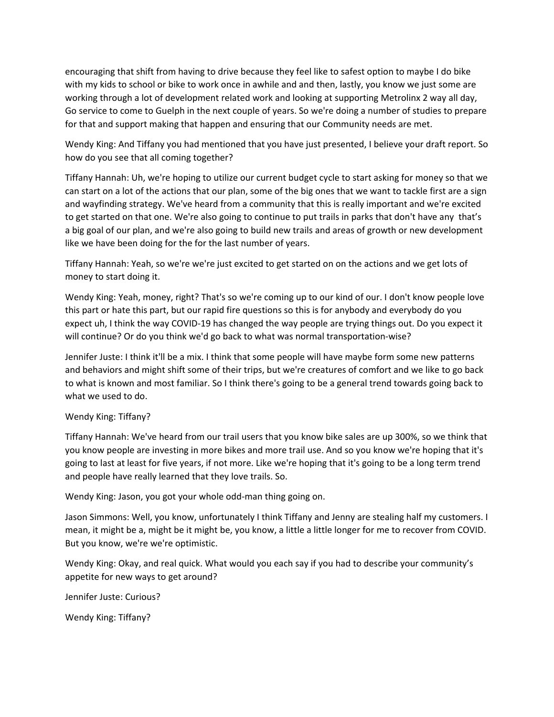encouraging that shift from having to drive because they feel like to safest option to maybe I do bike with my kids to school or bike to work once in awhile and and then, lastly, you know we just some are working through a lot of development related work and looking at supporting Metrolinx 2 way all day, Go service to come to Guelph in the next couple of years. So we're doing a number of studies to prepare for that and support making that happen and ensuring that our Community needs are met.

Wendy King: And Tiffany you had mentioned that you have just presented, I believe your draft report. So how do you see that all coming together?

Tiffany Hannah: Uh, we're hoping to utilize our current budget cycle to start asking for money so that we can start on a lot of the actions that our plan, some of the big ones that we want to tackle first are a sign and wayfinding strategy. We've heard from a community that this is really important and we're excited to get started on that one. We're also going to continue to put trails in parks that don't have any that's a big goal of our plan, and we're also going to build new trails and areas of growth or new development like we have been doing for the for the last number of years.

Tiffany Hannah: Yeah, so we're we're just excited to get started on on the actions and we get lots of money to start doing it.

Wendy King: Yeah, money, right? That's so we're coming up to our kind of our. I don't know people love this part or hate this part, but our rapid fire questions so this is for anybody and everybody do you expect uh, I think the way COVID-19 has changed the way people are trying things out. Do you expect it will continue? Or do you think we'd go back to what was normal transportation-wise?

Jennifer Juste: I think it'll be a mix. I think that some people will have maybe form some new patterns and behaviors and might shift some of their trips, but we're creatures of comfort and we like to go back to what is known and most familiar. So I think there's going to be a general trend towards going back to what we used to do.

Wendy King: Tiffany?

Tiffany Hannah: We've heard from our trail users that you know bike sales are up 300%, so we think that you know people are investing in more bikes and more trail use. And so you know we're hoping that it's going to last at least for five years, if not more. Like we're hoping that it's going to be a long term trend and people have really learned that they love trails. So.

Wendy King: Jason, you got your whole odd-man thing going on.

Jason Simmons: Well, you know, unfortunately I think Tiffany and Jenny are stealing half my customers. I mean, it might be a, might be it might be, you know, a little a little longer for me to recover from COVID. But you know, we're we're optimistic.

Wendy King: Okay, and real quick. What would you each say if you had to describe your community's appetite for new ways to get around?

Jennifer Juste: Curious?

Wendy King: Tiffany?